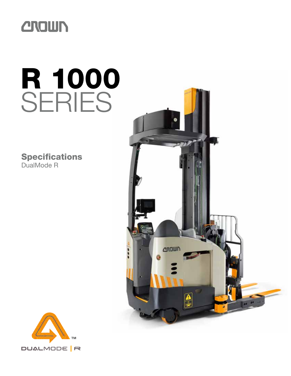

# R 1000 SERIES

**Specifications** DualMode R



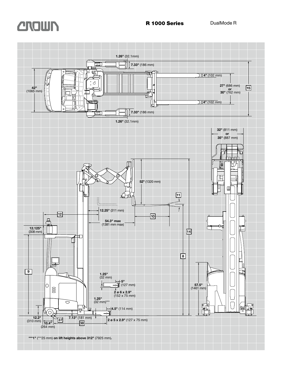

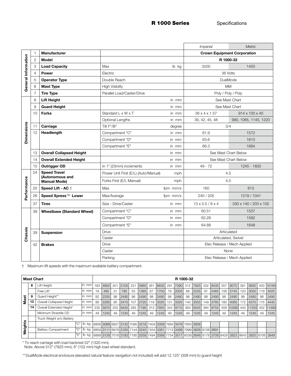R 1000 Series Specifications

|                     |                  |                                        |                                      |          | <i>Imperial</i>              | <b>Metric</b>               |  |  |  |  |
|---------------------|------------------|----------------------------------------|--------------------------------------|----------|------------------------------|-----------------------------|--|--|--|--|
|                     |                  | <b>Manufacturer</b>                    | <b>Crown Equipment Corporation</b>   |          |                              |                             |  |  |  |  |
|                     | $\overline{2}$   | Model                                  |                                      |          | R 1000-32                    |                             |  |  |  |  |
|                     | 3                | <b>Load Capacity</b>                   | Max                                  | lb kg    | 3200                         | 1450                        |  |  |  |  |
|                     | 4                | <b>Power</b>                           | Electric                             |          | 36 Volts                     |                             |  |  |  |  |
|                     | 5                | <b>Operator Type</b>                   | Double Reach                         |          | <b>DualMode</b>              |                             |  |  |  |  |
| General Information | 6                | <b>Mast Type</b>                       | <b>High Visibilty</b>                |          |                              | <b>MM</b>                   |  |  |  |  |
|                     | 7                | <b>Tire Type</b>                       | Parallel Load/Caster/Drive           |          | Poly / Poly / Poly           |                             |  |  |  |  |
|                     | 8                | <b>Lift Height</b>                     |                                      | in mm    | See Mast Chart               |                             |  |  |  |  |
|                     | 9                | <b>Guard Height</b>                    |                                      | in mm    | See Mast Chart               |                             |  |  |  |  |
|                     | 10               | <b>Forks</b>                           | Standard L x W x T                   | in mm    | 36 x 4 x 1.57                | 914 x 100 x 40              |  |  |  |  |
|                     |                  |                                        | Optional Lengths                     | in mm    | 39, 42, 45, 48               | 990, 1065, 1145, 1220       |  |  |  |  |
| <b>Dimensions</b>   | 11               | Carriage                               | Tilt F°/B°                           | degree   | 3/4                          |                             |  |  |  |  |
|                     | 12<br>Headlength |                                        | Compartment "C"                      | in mm    | 61.9                         | 1572                        |  |  |  |  |
|                     |                  |                                        | Compartment "D"                      | in mm    | 63.6                         | 1615                        |  |  |  |  |
|                     |                  |                                        | Compartment "E"                      | in mm    | 66.3                         | 1684                        |  |  |  |  |
|                     | 13               | <b>Overall Collapsed Height</b>        |                                      | in mm    |                              | See Mast Chart Below        |  |  |  |  |
|                     | 14               | <b>Overall Extended Height</b>         |                                      | in mm    | See Mast Chart Below         |                             |  |  |  |  |
|                     | 15               | Outrigger OD                           | In 1" (25mm) increments              | in mm    | 49 - 72<br>1245 - 1830       |                             |  |  |  |  |
|                     | 24               | <b>Speed Travel</b>                    | Power Unit First (E/L) (Auto/Manual) | mph      | 4.5                          |                             |  |  |  |  |
| Performance         |                  | (Autonomous and<br><b>Manual Mode)</b> | Forks First (E/L Manual)             | mph      |                              | 4.5                         |  |  |  |  |
|                     | 25               | Speed Lift - AC +                      | Max                                  | fpm mm/s | 160                          | 813                         |  |  |  |  |
|                     | 26               | Speed Xpress™ Lower                    | Max/Average                          | fpm mm/s | 240 / 205                    | 1219 / 1041                 |  |  |  |  |
|                     | 37               | <b>Tires</b>                           | Size - Drive/Caster                  | in mm    | $13 \times 5.5 / 8 \times 4$ | 330 x 140 / 203 x 102       |  |  |  |  |
|                     | 38               | <b>Wheelbase (Standard Wheel)</b>      | Compartment "C"                      | in mm    | 60.51                        | 1537                        |  |  |  |  |
|                     |                  |                                        | Compartment "D"                      | in mm    | 62.28                        | 1582                        |  |  |  |  |
|                     |                  |                                        | Compartment "E"                      | in mm    | 64.88                        | 1648                        |  |  |  |  |
| Chassis             | 39               | <b>Suspension</b>                      | Drive                                |          | Articulated                  |                             |  |  |  |  |
|                     |                  |                                        | Caster                               |          | Articulated, Swivel          |                             |  |  |  |  |
|                     | 42               | <b>Brakes</b>                          | <b>Drive</b>                         |          |                              | Elec Release / Mech Applied |  |  |  |  |
|                     |                  |                                        | Caster                               |          | None                         |                             |  |  |  |  |
|                     |                  |                                        | Parking                              |          | Elec Release / Mech Applied  |                             |  |  |  |  |

† Maximum lift speeds with the maximum available battery compartment.

| <b>Mast Chart</b> |    |                            |     |         |     | R 1000-32 |     |      |     |      |     |                                                                                    |     |      |     |      |     |      |     |       |     |       |     |                                                                                                                                           |
|-------------------|----|----------------------------|-----|---------|-----|-----------|-----|------|-----|------|-----|------------------------------------------------------------------------------------|-----|------|-----|------|-----|------|-----|-------|-----|-------|-----|-------------------------------------------------------------------------------------------------------------------------------------------|
|                   | 8  | Lift Height                |     | in mm   | 183 | 4650      | 201 | 5105 | 231 | 5865 | 261 | 6630                                                                               | 291 | 7390 | 312 | 7925 | 332 | 8435 | 357 | 9070  | 391 | 9930  |     | 400 10160                                                                                                                                 |
|                   |    | Free Lift*                 |     | in mm   | 19  | 485       | -31 | 785  | 55  | 1395 | 67  | 1700                                                                               | 79  | 2005 | 88  | 2235 | 97  | 2465 | 108 | 2745  | 120 | 3050  | 119 | 3025                                                                                                                                      |
|                   | 9  | Guard Height**             |     | in mm   | 92  | 2335      | 98  | 2490 | 98  | 2490 | 98  | 2490                                                                               | 98  | 2490 | 98  | 2490 | 98  | 2490 | 98  | 2490  | 98  | 2490  | 98  | 2490                                                                                                                                      |
| Mast              | 13 | Overall Collapsed Height   |     | lin mml | 89  | 2260      | 95  | 2415 | 107 | 2720 | 119 | 3025                                                                               | 131 | 3325 | 140 | 3555 | 149 | 3785 | 160 | 4065  | 172 | 4370  | 175 | 4445                                                                                                                                      |
|                   | 14 | Overall Extended Height*   |     | in mml  | 235 | 5970      | 253 | 6425 | 283 | 7190 | 313 | 7950                                                                               | 343 | 8710 | 364 | 9245 | 384 | 9755 | 409 | 10390 | 443 | 11250 | 452 | 11480                                                                                                                                     |
|                   |    | Minimum Straddle OD        |     | lin mml | 49  | 1245      | 49  | 1245 | 49  | 1245 | 49  | 1245                                                                               | 49  | 1245 | 49  | 1245 | 49  | 1245 | 49  | 1245  | 49  | 1245  | 49  | 1245                                                                                                                                      |
| Weights           |    | Truck Weight w/o Battery   |     |         |     |           |     |      |     |      |     |                                                                                    |     |      |     |      |     |      |     |       |     |       |     |                                                                                                                                           |
|                   |    |                            | "C" | lb kg   |     |           |     |      |     |      |     | 6808 3088 6927 3142 7095 3218 7404 3358 7664 3476 7950 3606                        |     |      |     |      |     |      |     |       |     |       |     |                                                                                                                                           |
|                   |    | <b>Battery Compartment</b> | "D" | lb kg   |     |           |     |      |     |      |     | 6859  3111  6978  3165  7144  3240  7454  3381  7712  3498  7999  3628  8138  3691 |     |      |     |      |     |      |     |       |     |       |     |                                                                                                                                           |
|                   |    |                            | Έ"  | kq      |     |           |     |      |     |      |     |                                                                                    |     |      |     |      |     |      |     |       |     |       |     | 6899   3129   7018   3183   7185   3259   7494   3399   7754   3517   8039   3646   8178   3709   8429   3823   8643   3920   8706   3949 |

\* To reach carriage with load backrest 52" (1320 mm).

Note: Above 312" (7925 mm), 6" (152 mm) high load wheel standard.

\*\*DualMode electrical enclosure (elevated natural feature navigation not included) will add 12.125" (308 mm) to guard height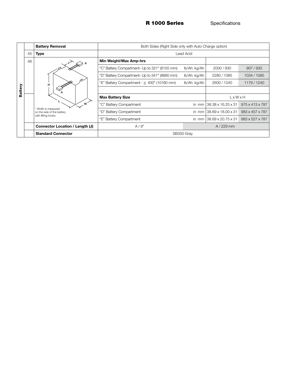R 1000 Series Specifications

|         |    | <b>Battery Removal</b>                            | Both Sides (Right Side only with Auto Charge option) |                                       |                                                       |                 |  |  |  |  |  |
|---------|----|---------------------------------------------------|------------------------------------------------------|---------------------------------------|-------------------------------------------------------|-----------------|--|--|--|--|--|
|         | 45 | <b>Type</b>                                       | Lead Acid                                            |                                       |                                                       |                 |  |  |  |  |  |
|         | 46 |                                                   | Min Weight/Max Amp-hrs                               |                                       |                                                       |                 |  |  |  |  |  |
|         |    | н                                                 | "C" Battery Compartment- Up to 321" (8155 mm)        | lb/Ah kg/Ah                           | 2000/930                                              | 907/930         |  |  |  |  |  |
|         |    |                                                   | "D" Battery Compartment- Up to 341" (8660 mm)        | lb/Ah kg/Ah                           | 2280 / 1085                                           | 1034 / 1085     |  |  |  |  |  |
|         |    |                                                   | "E" Battery Compartment $- \leq 400$ " (10160 mm)    | lb/Ah kg/Ah                           | 2600 / 1240                                           | 1179/1240       |  |  |  |  |  |
| Battery |    |                                                   |                                                      |                                       |                                                       |                 |  |  |  |  |  |
|         |    |                                                   | <b>Max Battery Size</b>                              | LxWxH                                 |                                                       |                 |  |  |  |  |  |
|         |    | W                                                 | "C" Battery Compartment                              |                                       | in mm $138.38 \times 16.25 \times 31$                 | 975 x 413 x 787 |  |  |  |  |  |
|         |    | * Width is measured<br>on the side of the battery | "D" Battery Compartment                              | in mm $138.69 \times 18.00 \times 31$ | 983 x 457 x 787                                       |                 |  |  |  |  |  |
|         |    | with lifting hooks                                | "E" Battery Compartment                              |                                       | in mm $138.69 \times 20.75 \times 31$ 983 x 527 x 787 |                 |  |  |  |  |  |
|         |    | Connector Location / Length (J)                   | A/9"                                                 | $A/229$ mm                            |                                                       |                 |  |  |  |  |  |
|         |    | <b>Standard Connector</b>                         | SB350 Gray                                           |                                       |                                                       |                 |  |  |  |  |  |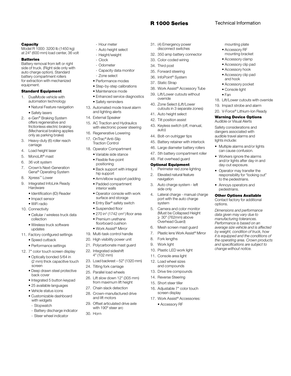#### R 1000 Series Technical Information

mounting plate • Accessory RF mounting bracket • Accessory clamp • Accessory clip pad • Accessory hook • Accessory clip pad and hook • Accessory pocket • Console light • Fan

18. Lift/Lower cutouts with override 19. Impact strobe and alarm 20. V-Force® Lithium-Ion Ready Warning Device Options Audible or Visual Alerts Safety considerations and dangers associated with audible travel alarms and

• Multiple alarms and/or lights can cause confusion. • Workers ignore the alarms and/or lights after day-in and

day-out exposure. • Operator may transfer the responsibility for "looking out"

to the pedestrians. • Annoys operators and pedestrians.

Other Options Available Contact factory for additional

*Dimensions and performance data given may vary due to manufacturing tolerances. Performance is based on an average size vehicle and is affected by weight, condition of truck, how it is equipped and the conditions of the operating area. Crown products and specifications are subject to change without notice.*

lights include:

options.

#### **Capacity**

Model R 1000: 3200 lb (1450 kg) at 24" (600 mm) load center, 36 volt

#### **Batteries**

Battery removal from left or right side of truck. (Right side only with auto charge option). Standard battery compartment rollers for extraction with mechanized equipment.

#### Standard Equipment

- 1. DualMode vehicle with automation technology
	- Natural Feature navigation
	- Safety lasers
- 2. e-Gen® Braking System offers regenerative and frictionless electric braking (Mechanical braking applies only as parking brake)
- 3. Heavy-duty (6) roller reach carriage
- 4. Load height laser
- 5. MonoLift® mast
- 6. 36 volt system
- 7. Crown's Next-Generation Gena® Operating System
- 8. Xpress™ Lower
- 9. Integrated InfoLink Ready **Hardware** 
	- Identification (ID) Reader
	- Impact sensor
	- WiFi radio
- 10. Connectivity
	- Cellular / wireless truck data collection
	- Wireless truck software updates
- 11. Factory configured settings
	- Speed cutback

• Performance settings

12. 7" color touch screen display

- Optically bonded 5/64 in (2 mm) thick capacitive touch screen
- Deep drawn steel protective back cover
- Integrated 5 button keypad
- 25 available languages
- Vehicle status icons
- Customizable dashboard with widgets
- Stopwatch
- Battery discharge indicator
- Steer wheel indicator
- Hour meter
- Auto height select
- Height/weight
- **Clock**
- Odometer
- Capacity data monitor Zone select
- Performance modes
- Step-by-step calibrations
- Maintenance mode
- Enhanced service diagnostics • Safety reminders
- 13. Automated mode travel alarm and lighting alerts
- 14. External Speaker
- 15. AC Traction and Hydraulics with electronic power steering
- 16. Regenerative Lowering
- 17. OnTrac® Anti-Slip Traction Control
- 18. Operator Compartment
	- Variable side stance
	- Flexible five-point positioning
	- Back support with integral hip support
	- Arm/elbow support padding
	- Padded compartment interior walls
	- Operator console with work surface and storage
	- Entry Bar® safety switch
	- Suspended floor
	- $\bullet$  270 in<sup>2</sup> (1742 cm<sup>2</sup>) floor area
	- Premium urethane floorboard cushion
	- Work Assist® Mirror
- 19. Multi-task control handle
- 20. High visibility power unit
- 21. Polycarbonate mast guard
- 22. Integrated sideshift 4" (102 mm)
- 23. Load backrest 52" (1320 mm)
- 24. Tilting fork carriage
- 25. Parallel load wheels
- 26. Lift slow down 12" (305 mm) from maximum lift height
- 27. Chain slack detection
- 28. Crown-manufactured drive and lift motors
- 29. Offset articulated drive axle with 190º steer arc

30. Horn

- 31. (4) Emergency power disconnect switches
- 32. 350 amp battery connector
- 33. Color-coded wiring
- 34. Third post
- 35. Forward steering
- 36. InfoPoint® System
- 37. Static Strap
- 38. Work Assist® Accessory Tube
- 39. Lift/Lower cutouts without override
- 40. Zone Select (Lift/Lower cutouts in 3 separate zones)
- 41. Auto height select
- 42. Tilt position assist
- 43. Keyless switch (off, manual, auto)
- 44. Bolt-on outrigger tips
- 45. Battery retainer with interlock
- 46. Large diameter battery rollers
- 47. 5th battery compartment roller
- 48. Flat overhead guard

#### Optional Equipment

- 1. Perimeter red zone lighting
- 2. Elevated natural feature navigation
- 3. Auto charge system left side only
- 4. Lateral charge manual charge port with the auto charge system
- 5. Camera and color monitor (Must be Collapsed Height  $\geq$  30" (762mm) above Overhead Guard)

6. Mesh screen mast guard 7. Plastic lens Work Assist® Mirror

10. Plastic LED work light 11. Console area light 12. Load wheel sizes and compounds 13. Drive tire compounds 14. Reverse Steering 15. Short steer tiller

16. Adjustable 7" color touch screen display 17. Work Assist® Accessories: • Accessory RF

8. Fork lengths 9. Work light